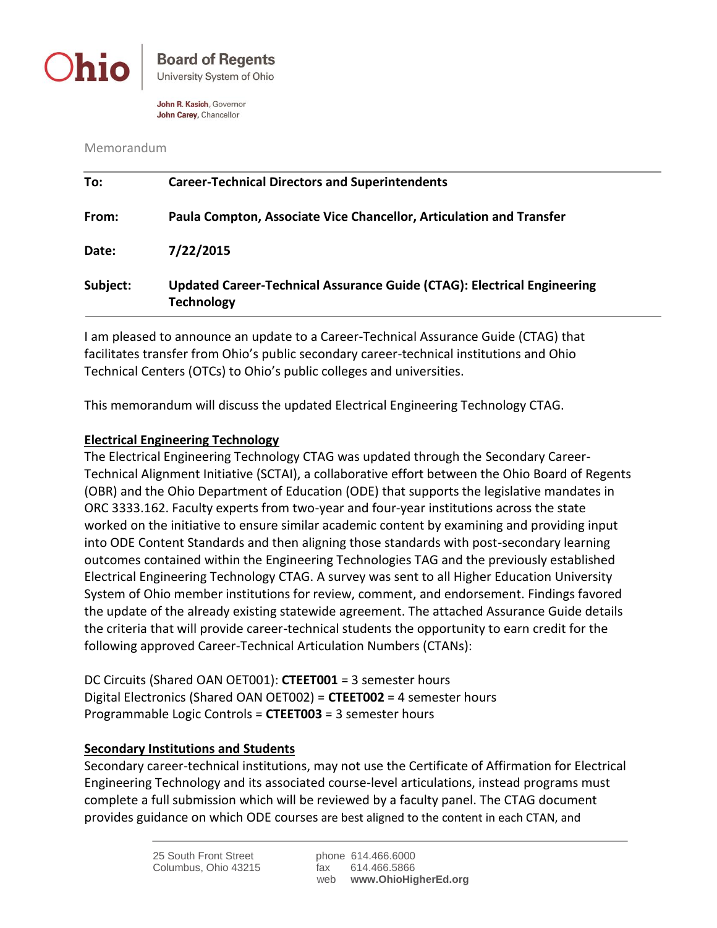

John R. Kasich, Governor John Carey, Chancellor

Memorandum

| To:      | <b>Career-Technical Directors and Superintendents</b>                                        |  |
|----------|----------------------------------------------------------------------------------------------|--|
| From:    | Paula Compton, Associate Vice Chancellor, Articulation and Transfer                          |  |
| Date:    | 7/22/2015                                                                                    |  |
| Subject: | Updated Career-Technical Assurance Guide (CTAG): Electrical Engineering<br><b>Technology</b> |  |

I am pleased to announce an update to a Career-Technical Assurance Guide (CTAG) that facilitates transfer from Ohio's public secondary career-technical institutions and Ohio Technical Centers (OTCs) to Ohio's public colleges and universities.

This memorandum will discuss the updated Electrical Engineering Technology CTAG.

## **Electrical Engineering Technology**

The Electrical Engineering Technology CTAG was updated through the Secondary Career-Technical Alignment Initiative (SCTAI), a collaborative effort between the Ohio Board of Regents (OBR) and the Ohio Department of Education (ODE) that supports the legislative mandates in ORC 3333.162. Faculty experts from two-year and four-year institutions across the state worked on the initiative to ensure similar academic content by examining and providing input into ODE Content Standards and then aligning those standards with post-secondary learning outcomes contained within the Engineering Technologies TAG and the previously established Electrical Engineering Technology CTAG. A survey was sent to all Higher Education University System of Ohio member institutions for review, comment, and endorsement. Findings favored the update of the already existing statewide agreement. The attached Assurance Guide details the criteria that will provide career-technical students the opportunity to earn credit for the following approved Career-Technical Articulation Numbers (CTANs):

DC Circuits (Shared OAN OET001): **CTEET001** = 3 semester hours Digital Electronics (Shared OAN OET002) = **CTEET002** = 4 semester hours Programmable Logic Controls = **CTEET003** = 3 semester hours

## **Secondary Institutions and Students**

Secondary career-technical institutions, may not use the Certificate of Affirmation for Electrical Engineering Technology and its associated course-level articulations, instead programs must complete a full submission which will be reviewed by a faculty panel. The CTAG document provides guidance on which ODE courses are best aligned to the content in each CTAN, and